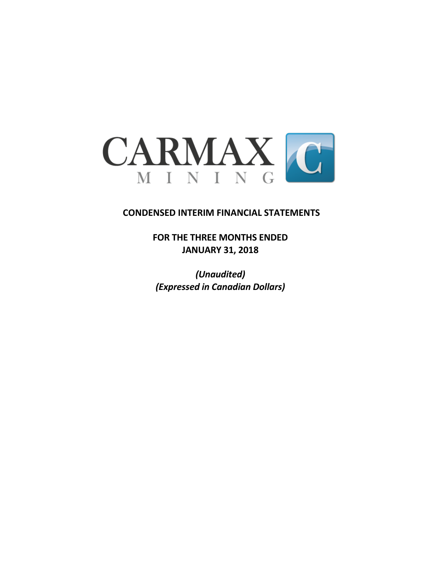

# **CONDENSED INTERIM FINANCIAL STATEMENTS**

**FOR THE THREE MONTHS ENDED JANUARY 31, 2018**

*(Unaudited) (Expressed in Canadian Dollars)*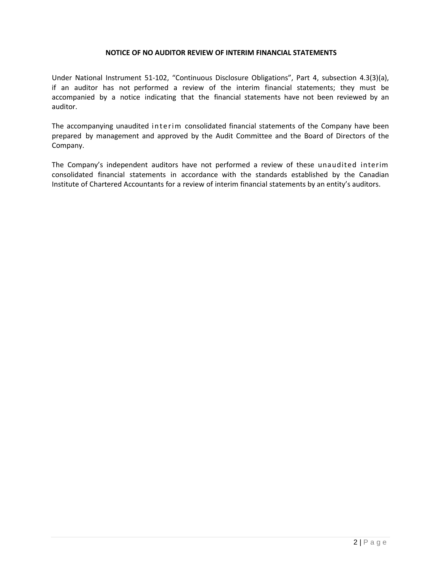#### **NOTICE OF NO AUDITOR REVIEW OF INTERIM FINANCIAL STATEMENTS**

Under National Instrument 51-102, "Continuous Disclosure Obligations", Part 4, subsection 4.3(3)(a), if an auditor has not performed a review of the interim financial statements; they must be accompanied by a notice indicating that the financial statements have not been reviewed by an auditor.

The accompanying unaudited interim consolidated financial statements of the Company have been prepared by management and approved by the Audit Committee and the Board of Directors of the Company.

The Company's independent auditors have not performed a review of these unaudited interim consolidated financial statements in accordance with the standards established by the Canadian Institute of Chartered Accountants for a review of interim financial statements by an entity's auditors.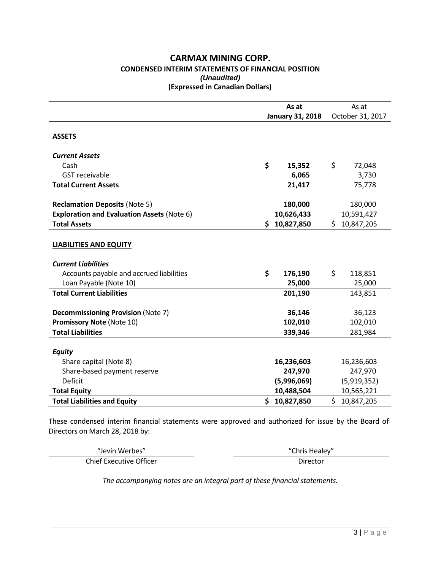### **CARMAX MINING CORP. CONDENSED INTERIM STATEMENTS OF FINANCIAL POSITION** *(Unaudited)*  **(Expressed in Canadian Dollars)**

|                                                   | As at |                         |     | As at            |
|---------------------------------------------------|-------|-------------------------|-----|------------------|
|                                                   |       | <b>January 31, 2018</b> |     | October 31, 2017 |
| <b>ASSETS</b>                                     |       |                         |     |                  |
| <b>Current Assets</b>                             |       |                         |     |                  |
| Cash                                              | \$    | 15,352                  | \$  | 72,048           |
| <b>GST</b> receivable                             |       | 6,065                   |     | 3,730            |
| <b>Total Current Assets</b>                       |       | 21,417                  |     | 75,778           |
|                                                   |       |                         |     |                  |
| <b>Reclamation Deposits (Note 5)</b>              |       | 180,000                 |     | 180,000          |
| <b>Exploration and Evaluation Assets (Note 6)</b> |       | 10,626,433              |     | 10,591,427       |
| <b>Total Assets</b>                               | \$    | 10,827,850              | \$  | 10,847,205       |
| <b>LIABILITIES AND EQUITY</b>                     |       |                         |     |                  |
| <b>Current Liabilities</b>                        |       |                         |     |                  |
| Accounts payable and accrued liabilities          | \$    | 176,190                 | \$  | 118,851          |
| Loan Payable (Note 10)                            |       | 25,000                  |     | 25,000           |
| <b>Total Current Liabilities</b>                  |       | 201,190                 |     | 143,851          |
| <b>Decommissioning Provision (Note 7)</b>         |       | 36,146                  |     | 36,123           |
| <b>Promissory Note (Note 10)</b>                  |       | 102,010                 |     | 102,010          |
| <b>Total Liabilities</b>                          |       | 339,346                 |     | 281,984          |
| <b>Equity</b><br>Share capital (Note 8)           |       | 16,236,603              |     | 16,236,603       |
| Share-based payment reserve                       |       | 247,970                 |     | 247,970          |
| Deficit                                           |       | (5,996,069)             |     | (5,919,352)      |
| <b>Total Equity</b>                               |       | 10,488,504              |     | 10,565,221       |
| <b>Total Liabilities and Equity</b>               | \$    | 10,827,850              | \$. | 10,847,205       |

These condensed interim financial statements were approved and authorized for issue by the Board of Directors on March 28, 2018 by:

| "Jevin Werbes"                 | "Chris Healey" |
|--------------------------------|----------------|
| <b>Chief Executive Officer</b> | Director       |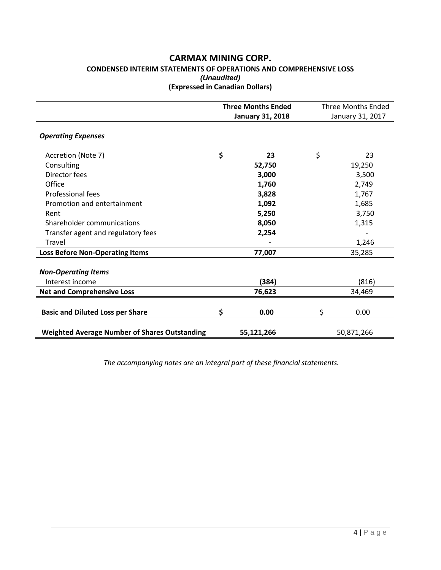### **CARMAX MINING CORP. CONDENSED INTERIM STATEMENTS OF OPERATIONS AND COMPREHENSIVE LOSS** *(Unaudited)* **(Expressed in Canadian Dollars)**

|                                                      | <b>Three Months Ended</b> | <b>Three Months Ended</b> |            |  |  |
|------------------------------------------------------|---------------------------|---------------------------|------------|--|--|
|                                                      | <b>January 31, 2018</b>   | January 31, 2017          |            |  |  |
| <b>Operating Expenses</b>                            |                           |                           |            |  |  |
| Accretion (Note 7)                                   | \$<br>23                  | \$                        | 23         |  |  |
| Consulting                                           | 52,750                    |                           | 19,250     |  |  |
| Director fees                                        | 3,000                     |                           | 3,500      |  |  |
| Office                                               | 1,760                     |                           | 2,749      |  |  |
| Professional fees                                    | 3,828                     |                           | 1,767      |  |  |
| Promotion and entertainment                          | 1,092                     |                           | 1,685      |  |  |
| Rent                                                 | 5,250                     |                           | 3,750      |  |  |
| Shareholder communications                           | 8,050                     |                           | 1,315      |  |  |
| Transfer agent and regulatory fees                   | 2,254                     |                           |            |  |  |
| <b>Travel</b>                                        |                           |                           | 1,246      |  |  |
| <b>Loss Before Non-Operating Items</b>               | 77,007                    |                           | 35,285     |  |  |
| <b>Non-Operating Items</b>                           |                           |                           |            |  |  |
| Interest income                                      | (384)                     |                           | (816)      |  |  |
| <b>Net and Comprehensive Loss</b>                    | 76,623                    |                           | 34,469     |  |  |
| <b>Basic and Diluted Loss per Share</b>              | \$<br>0.00                | \$                        | 0.00       |  |  |
| <b>Weighted Average Number of Shares Outstanding</b> | 55,121,266                |                           | 50,871,266 |  |  |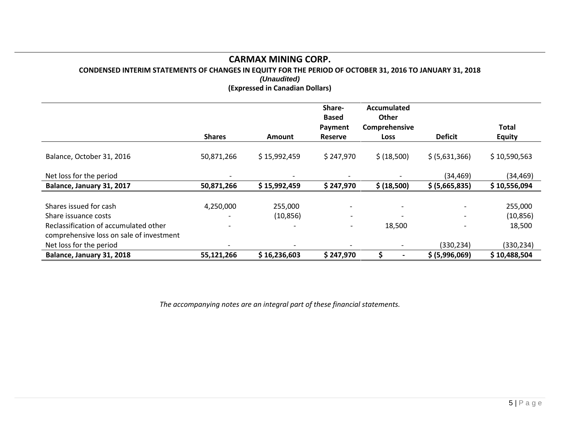**CONDENSED INTERIM STATEMENTS OF CHANGES IN EQUITY FOR THE PERIOD OF OCTOBER 31, 2016 TO JANUARY 31, 2018**

*(Unaudited)* **(Expressed in Canadian Dollars)**

|                                          |                              |               | Share-<br><b>Based</b>   | Accumulated<br>Other     |                          |               |
|------------------------------------------|------------------------------|---------------|--------------------------|--------------------------|--------------------------|---------------|
|                                          |                              |               | Payment                  | Comprehensive            |                          | Total         |
|                                          | <b>Shares</b>                | <b>Amount</b> | <b>Reserve</b>           | <b>Loss</b>              | <b>Deficit</b>           | <b>Equity</b> |
| Balance, October 31, 2016                | 50,871,266                   | \$15,992,459  | \$247,970                | \$ (18,500)              | \$ (5,631,366)           | \$10,590,563  |
| Net loss for the period                  | $\overline{\phantom{a}}$     |               |                          |                          | (34, 469)                | (34,469)      |
| Balance, January 31, 2017                | 50,871,266                   | \$15,992,459  | \$247,970                | \$ (18,500)              | \$ (5,665,835)           | \$10,556,094  |
|                                          |                              |               |                          |                          |                          |               |
| Shares issued for cash                   | 4,250,000                    | 255,000       | $\overline{\phantom{a}}$ |                          | $\overline{\phantom{a}}$ | 255,000       |
| Share issuance costs                     |                              | (10, 856)     | $\overline{\phantom{a}}$ |                          |                          | (10, 856)     |
| Reclassification of accumulated other    | $\qquad \qquad \blacksquare$ |               | $\overline{\phantom{a}}$ | 18,500                   |                          | 18,500        |
| comprehensive loss on sale of investment |                              |               |                          |                          |                          |               |
| Net loss for the period                  |                              |               |                          | $\overline{\phantom{a}}$ | (330,234)                | (330, 234)    |
| Balance, January 31, 2018                | 55,121,266                   | \$16,236,603  | \$247,970                |                          | \$ (5,996,069)           | \$10,488,504  |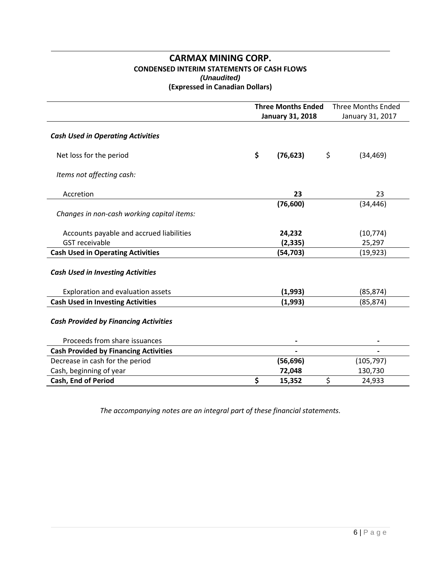### **CARMAX MINING CORP. CONDENSED INTERIM STATEMENTS OF CASH FLOWS** *(Unaudited)* **(Expressed in Canadian Dollars)**

|                                              | <b>Three Months Ended</b><br><b>Three Months Ended</b> |                         |    |                  |
|----------------------------------------------|--------------------------------------------------------|-------------------------|----|------------------|
|                                              |                                                        | <b>January 31, 2018</b> |    | January 31, 2017 |
| <b>Cash Used in Operating Activities</b>     |                                                        |                         |    |                  |
| Net loss for the period                      | \$                                                     | (76, 623)               | \$ | (34, 469)        |
| Items not affecting cash:                    |                                                        |                         |    |                  |
| Accretion                                    |                                                        | 23                      |    | 23               |
| Changes in non-cash working capital items:   |                                                        | (76, 600)               |    | (34, 446)        |
| Accounts payable and accrued liabilities     |                                                        | 24,232                  |    | (10, 774)        |
| <b>GST</b> receivable                        |                                                        | (2, 335)                |    | 25,297           |
| <b>Cash Used in Operating Activities</b>     |                                                        | (54, 703)               |    | (19, 923)        |
| <b>Cash Used in Investing Activities</b>     |                                                        |                         |    |                  |
| Exploration and evaluation assets            |                                                        | (1,993)                 |    | (85, 874)        |
| <b>Cash Used in Investing Activities</b>     |                                                        | (1,993)                 |    | (85, 874)        |
| <b>Cash Provided by Financing Activities</b> |                                                        |                         |    |                  |
| Proceeds from share issuances                |                                                        |                         |    |                  |
| <b>Cash Provided by Financing Activities</b> |                                                        |                         |    |                  |
| Decrease in cash for the period              |                                                        | (56, 696)               |    | (105, 797)       |
| Cash, beginning of year                      |                                                        | 72,048                  |    | 130,730          |
| Cash, End of Period                          | \$                                                     | 15,352                  | \$ | 24,933           |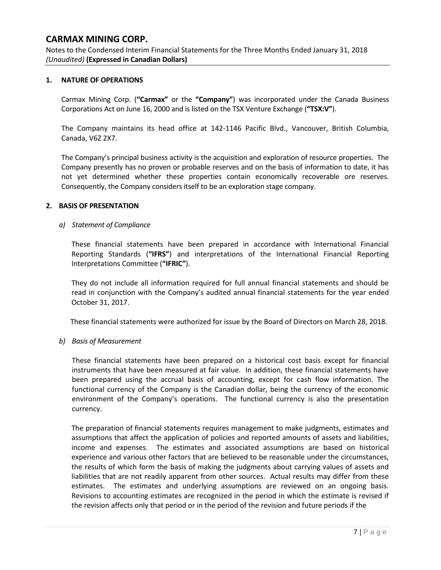Notes to the Condensed Interim Financial Statements for the Three Months Ended January 31, 2018 *(Unaudited)* **(Expressed in Canadian Dollars)**

### **1. NATURE OF OPERATIONS**

Carmax Mining Corp. (**"Carmax"** or the **"Company"**) was incorporated under the Canada Business Corporations Act on June 16, 2000 and is listed on the TSX Venture Exchange (**"TSX:V"**).

The Company maintains its head office at 142-1146 Pacific Blvd., Vancouver, British Columbia, Canada, V6Z 2X7.

The Company's principal business activity is the acquisition and exploration of resource properties. The Company presently has no proven or probable reserves and on the basis of information to date, it has not yet determined whether these properties contain economically recoverable ore reserves. Consequently, the Company considers itself to be an exploration stage company.

### **2. BASIS OF PRESENTATION**

### *a) Statement of Compliance*

These financial statements have been prepared in accordance with International Financial Reporting Standards (**"IFRS"**) and interpretations of the International Financial Reporting Interpretations Committee (**"IFRIC"**).

They do not include all information required for full annual financial statements and should be read in conjunction with the Company's audited annual financial statements for the year ended October 31, 2017.

These financial statements were authorized for issue by the Board of Directors on March 28, 2018.

### *b) Basis of Measurement*

These financial statements have been prepared on a historical cost basis except for financial instruments that have been measured at fair value. In addition, these financial statements have been prepared using the accrual basis of accounting, except for cash flow information. The functional currency of the Company is the Canadian dollar, being the currency of the economic environment of the Company's operations. The functional currency is also the presentation currency.

The preparation of financial statements requires management to make judgments, estimates and assumptions that affect the application of policies and reported amounts of assets and liabilities, income and expenses. The estimates and associated assumptions are based on historical experience and various other factors that are believed to be reasonable under the circumstances, the results of which form the basis of making the judgments about carrying values of assets and liabilities that are not readily apparent from other sources. Actual results may differ from these estimates. The estimates and underlying assumptions are reviewed on an ongoing basis. Revisions to accounting estimates are recognized in the period in which the estimate is revised if the revision affects only that period or in the period of the revision and future periods if the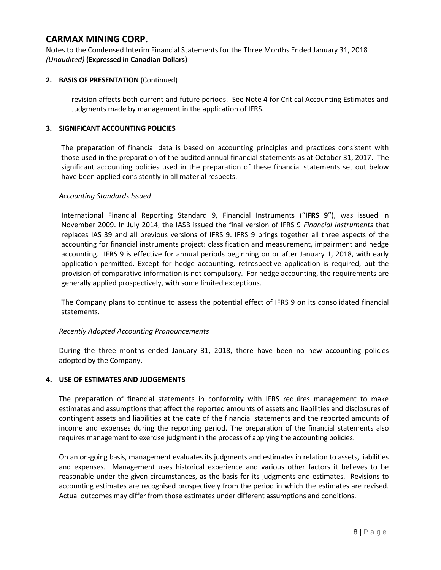Notes to the Condensed Interim Financial Statements for the Three Months Ended January 31, 2018 *(Unaudited)* **(Expressed in Canadian Dollars)**

### **2. BASIS OF PRESENTATION** (Continued)

revision affects both current and future periods. See Note 4 for Critical Accounting Estimates and Judgments made by management in the application of IFRS.

### **3. SIGNIFICANT ACCOUNTING POLICIES**

The preparation of financial data is based on accounting principles and practices consistent with those used in the preparation of the audited annual financial statements as at October 31, 2017. The significant accounting policies used in the preparation of these financial statements set out below have been applied consistently in all material respects.

### *Accounting Standards Issued*

International Financial Reporting Standard 9, Financial Instruments ("**IFRS 9**"), was issued in November 2009. In July 2014, the IASB issued the final version of IFRS 9 *Financial Instruments* that replaces IAS 39 and all previous versions of IFRS 9. IFRS 9 brings together all three aspects of the accounting for financial instruments project: classification and measurement, impairment and hedge accounting. IFRS 9 is effective for annual periods beginning on or after January 1, 2018, with early application permitted. Except for hedge accounting, retrospective application is required, but the provision of comparative information is not compulsory. For hedge accounting, the requirements are generally applied prospectively, with some limited exceptions.

The Company plans to continue to assess the potential effect of IFRS 9 on its consolidated financial statements.

### *Recently Adopted Accounting Pronouncements*

During the three months ended January 31, 2018, there have been no new accounting policies adopted by the Company.

### **4. USE OF ESTIMATES AND JUDGEMENTS**

The preparation of financial statements in conformity with IFRS requires management to make estimates and assumptions that affect the reported amounts of assets and liabilities and disclosures of contingent assets and liabilities at the date of the financial statements and the reported amounts of income and expenses during the reporting period. The preparation of the financial statements also requires management to exercise judgment in the process of applying the accounting policies.

On an on-going basis, management evaluates its judgments and estimates in relation to assets, liabilities and expenses. Management uses historical experience and various other factors it believes to be reasonable under the given circumstances, as the basis for its judgments and estimates. Revisions to accounting estimates are recognised prospectively from the period in which the estimates are revised. Actual outcomes may differ from those estimates under different assumptions and conditions.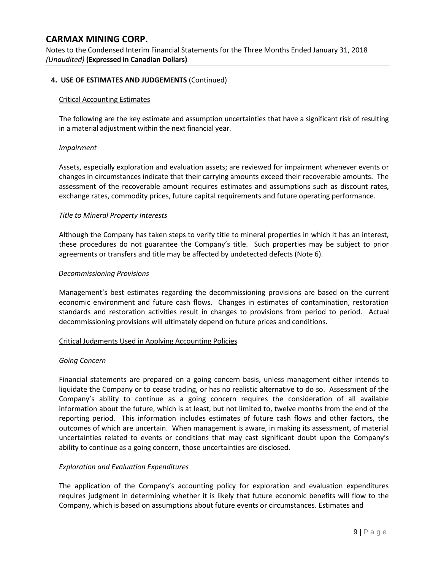Notes to the Condensed Interim Financial Statements for the Three Months Ended January 31, 2018 *(Unaudited)* **(Expressed in Canadian Dollars)**

### **4. USE OF ESTIMATES AND JUDGEMENTS** (Continued)

#### Critical Accounting Estimates

The following are the key estimate and assumption uncertainties that have a significant risk of resulting in a material adjustment within the next financial year.

#### *Impairment*

Assets, especially exploration and evaluation assets; are reviewed for impairment whenever events or changes in circumstances indicate that their carrying amounts exceed their recoverable amounts. The assessment of the recoverable amount requires estimates and assumptions such as discount rates, exchange rates, commodity prices, future capital requirements and future operating performance.

#### *Title to Mineral Property Interests*

Although the Company has taken steps to verify title to mineral properties in which it has an interest, these procedures do not guarantee the Company's title. Such properties may be subject to prior agreements or transfers and title may be affected by undetected defects (Note 6).

#### *Decommissioning Provisions*

Management's best estimates regarding the decommissioning provisions are based on the current economic environment and future cash flows. Changes in estimates of contamination, restoration standards and restoration activities result in changes to provisions from period to period. Actual decommissioning provisions will ultimately depend on future prices and conditions.

#### Critical Judgments Used in Applying Accounting Policies

#### *Going Concern*

Financial statements are prepared on a going concern basis, unless management either intends to liquidate the Company or to cease trading, or has no realistic alternative to do so. Assessment of the Company's ability to continue as a going concern requires the consideration of all available information about the future, which is at least, but not limited to, twelve months from the end of the reporting period. This information includes estimates of future cash flows and other factors, the outcomes of which are uncertain. When management is aware, in making its assessment, of material uncertainties related to events or conditions that may cast significant doubt upon the Company's ability to continue as a going concern, those uncertainties are disclosed.

### *Exploration and Evaluation Expenditures*

The application of the Company's accounting policy for exploration and evaluation expenditures requires judgment in determining whether it is likely that future economic benefits will flow to the Company, which is based on assumptions about future events or circumstances. Estimates and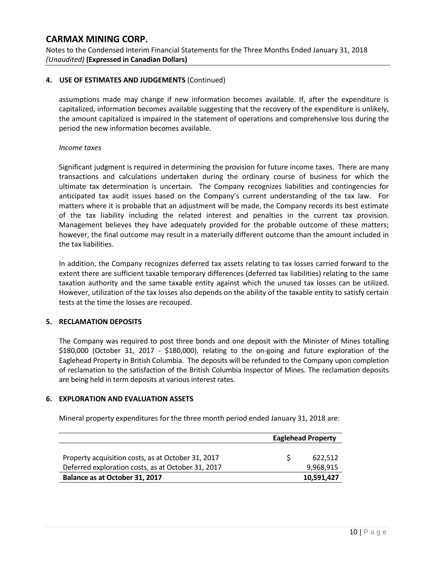Notes to the Condensed Interim Financial Statements for the Three Months Ended January 31, 2018 *(Unaudited)* **(Expressed in Canadian Dollars)**

### **4. USE OF ESTIMATES AND JUDGEMENTS** (Continued)

assumptions made may change if new information becomes available. If, after the expenditure is capitalized, information becomes available suggesting that the recovery of the expenditure is unlikely, the amount capitalized is impaired in the statement of operations and comprehensive loss during the period the new information becomes available.

#### *Income taxes*

Significant judgment is required in determining the provision for future income taxes. There are many transactions and calculations undertaken during the ordinary course of business for which the ultimate tax determination is uncertain. The Company recognizes liabilities and contingencies for anticipated tax audit issues based on the Company's current understanding of the tax law. For matters where it is probable that an adjustment will be made, the Company records its best estimate of the tax liability including the related interest and penalties in the current tax provision. Management believes they have adequately provided for the probable outcome of these matters; however, the final outcome may result in a materially different outcome than the amount included in the tax liabilities.

In addition, the Company recognizes deferred tax assets relating to tax losses carried forward to the extent there are sufficient taxable temporary differences (deferred tax liabilities) relating to the same taxation authority and the same taxable entity against which the unused tax losses can be utilized. However, utilization of the tax losses also depends on the ability of the taxable entity to satisfy certain tests at the time the losses are recouped.

### **5. RECLAMATION DEPOSITS**

The Company was required to post three bonds and one deposit with the Minister of Mines totalling \$180,000 (October 31, 2017 - \$180,000), relating to the on-going and future exploration of the Eaglehead Property in British Columbia. The deposits will be refunded to the Company upon completion of reclamation to the satisfaction of the British Columbia Inspector of Mines. The reclamation deposits are being held in term deposits at various interest rates.

### **6. EXPLORATION AND EVALUATION ASSETS**

Mineral property expenditures for the three month period ended January 31, 2018 are:

|                                                    | <b>Eaglehead Property</b> |
|----------------------------------------------------|---------------------------|
|                                                    |                           |
| Property acquisition costs, as at October 31, 2017 | 622.512                   |
| Deferred exploration costs, as at October 31, 2017 | 9,968,915                 |
| Balance as at October 31, 2017                     | 10,591,427                |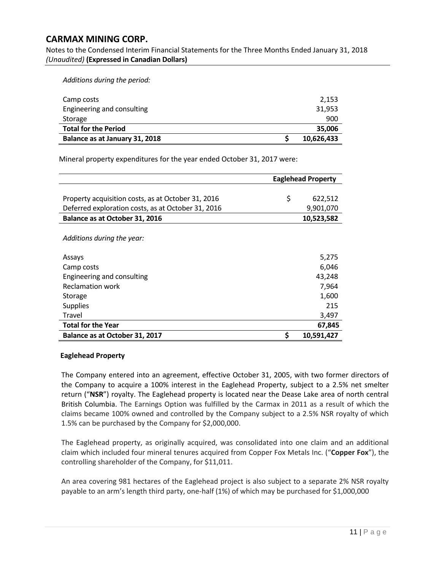Notes to the Condensed Interim Financial Statements for the Three Months Ended January 31, 2018 *(Unaudited)* **(Expressed in Canadian Dollars)**

*Additions during the period:*

| Camp costs                     | 2,153      |
|--------------------------------|------------|
| Engineering and consulting     | 31,953     |
| Storage                        | 900        |
| <b>Total for the Period</b>    | 35,006     |
| Balance as at January 31, 2018 | 10,626,433 |

Mineral property expenditures for the year ended October 31, 2017 were:

|                                                    | <b>Eaglehead Property</b> |
|----------------------------------------------------|---------------------------|
|                                                    |                           |
| Property acquisition costs, as at October 31, 2016 | \$<br>622,512             |
| Deferred exploration costs, as at October 31, 2016 | 9,901,070                 |
| Balance as at October 31, 2016                     | 10,523,582                |
|                                                    |                           |
| Additions during the year:                         |                           |
|                                                    |                           |
| Assays                                             | 5,275                     |
| Camp costs                                         | 6,046                     |
| Engineering and consulting                         | 43,248                    |
| Reclamation work                                   | 7,964                     |
| Storage                                            | 1,600                     |
| <b>Supplies</b>                                    | 215                       |
| Travel                                             | 3,497                     |
| <b>Total for the Year</b>                          | 67,845                    |
| Balance as at October 31, 2017                     | \$<br>10,591,427          |

### **Eaglehead Property**

The Company entered into an agreement, effective October 31, 2005, with two former directors of the Company to acquire a 100% interest in the Eaglehead Property, subject to a 2.5% net smelter return ("**NSR**") royalty. The Eaglehead property is located near the Dease Lake area of north central British Columbia. The Earnings Option was fulfilled by the Carmax in 2011 as a result of which the claims became 100% owned and controlled by the Company subject to a 2.5% NSR royalty of which 1.5% can be purchased by the Company for \$2,000,000.

The Eaglehead property, as originally acquired, was consolidated into one claim and an additional claim which included four mineral tenures acquired from Copper Fox Metals Inc. ("**Copper Fox**"), the controlling shareholder of the Company, for \$11,011.

An area covering 981 hectares of the Eaglehead project is also subject to a separate 2% NSR royalty payable to an arm's length third party, one-half (1%) of which may be purchased for \$1,000,000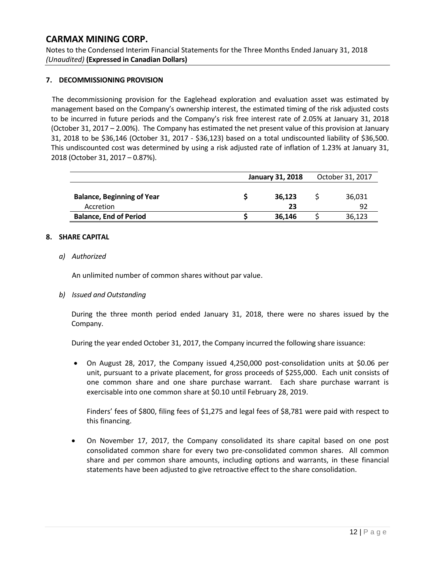Notes to the Condensed Interim Financial Statements for the Three Months Ended January 31, 2018 *(Unaudited)* **(Expressed in Canadian Dollars)**

### **7. DECOMMISSIONING PROVISION**

The decommissioning provision for the Eaglehead exploration and evaluation asset was estimated by management based on the Company's ownership interest, the estimated timing of the risk adjusted costs to be incurred in future periods and the Company's risk free interest rate of 2.05% at January 31, 2018 (October 31, 2017 – 2.00%). The Company has estimated the net present value of this provision at January 31, 2018 to be \$36,146 (October 31, 2017 - \$36,123) based on a total undiscounted liability of \$36,500. This undiscounted cost was determined by using a risk adjusted rate of inflation of 1.23% at January 31, 2018 (October 31, 2017 – 0.87%).

|                                                | <b>January 31, 2018</b> | October 31, 2017 |
|------------------------------------------------|-------------------------|------------------|
| <b>Balance, Beginning of Year</b><br>Accretion | 36,123<br>23            | 36,031<br>92     |
| <b>Balance, End of Period</b>                  | 36,146                  | 36,123           |

### **8. SHARE CAPITAL**

### *a) Authorized*

An unlimited number of common shares without par value.

### *b) Issued and Outstanding*

During the three month period ended January 31, 2018, there were no shares issued by the Company.

During the year ended October 31, 2017, the Company incurred the following share issuance:

• On August 28, 2017, the Company issued 4,250,000 post-consolidation units at \$0.06 per unit, pursuant to a private placement, for gross proceeds of \$255,000. Each unit consists of one common share and one share purchase warrant. Each share purchase warrant is exercisable into one common share at \$0.10 until February 28, 2019.

Finders' fees of \$800, filing fees of \$1,275 and legal fees of \$8,781 were paid with respect to this financing.

• On November 17, 2017, the Company consolidated its share capital based on one post consolidated common share for every two pre-consolidated common shares. All common share and per common share amounts, including options and warrants, in these financial statements have been adjusted to give retroactive effect to the share consolidation.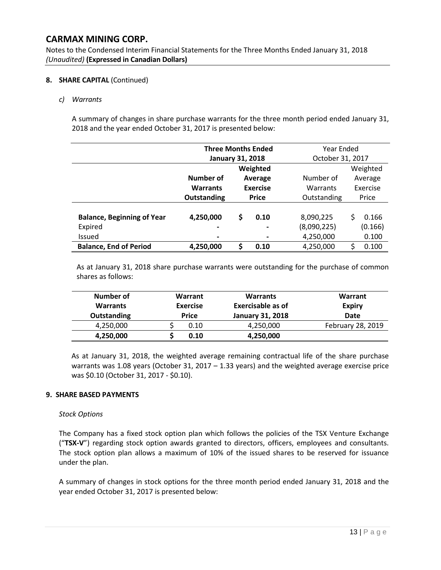Notes to the Condensed Interim Financial Statements for the Three Months Ended January 31, 2018 *(Unaudited)* **(Expressed in Canadian Dollars)**

### **8. SHARE CAPITAL** (Continued)

*c) Warrants*

A summary of changes in share purchase warrants for the three month period ended January 31, 2018 and the year ended October 31, 2017 is presented below:

|                                   | <b>Three Months Ended</b> |                            |                  | Year Ended  |          |           |          |         |
|-----------------------------------|---------------------------|----------------------------|------------------|-------------|----------|-----------|----------|---------|
|                                   | <b>January 31, 2018</b>   |                            | October 31, 2017 |             |          |           |          |         |
|                                   | Weighted                  |                            |                  |             | Weighted |           |          |         |
|                                   | Number of                 | Average<br><b>Exercise</b> |                  |             |          | Number of |          | Average |
|                                   | <b>Warrants</b>           |                            |                  |             |          | Warrants  | Exercise |         |
|                                   | Outstanding               | <b>Price</b>               |                  | Outstanding |          | Price     |          |         |
|                                   |                           |                            |                  |             |          |           |          |         |
| <b>Balance, Beginning of Year</b> | 4,250,000                 | \$                         | 0.10             | 8,090,225   | S.       | 0.166     |          |         |
| Expired                           | -                         |                            |                  | (8,090,225) |          | (0.166)   |          |         |
| <b>Issued</b>                     | $\blacksquare$            |                            |                  | 4,250,000   |          | 0.100     |          |         |
| <b>Balance, End of Period</b>     | 4,250,000                 | \$                         | 0.10             | 4,250,000   | \$       | 0.100     |          |         |

As at January 31, 2018 share purchase warrants were outstanding for the purchase of common shares as follows:

| Number of<br><b>Warrants</b><br>Outstanding | Warrant<br><b>Exercise</b><br><b>Price</b> | <b>Warrants</b><br>Exercisable as of<br><b>January 31, 2018</b> | Warrant<br><b>Expiry</b><br><b>Date</b> |  |
|---------------------------------------------|--------------------------------------------|-----------------------------------------------------------------|-----------------------------------------|--|
| 4,250,000                                   | 0.10                                       | 4,250,000                                                       | February 28, 2019                       |  |
| 4,250,000                                   | 0.10                                       | 4,250,000                                                       |                                         |  |

As at January 31, 2018, the weighted average remaining contractual life of the share purchase warrants was 1.08 years (October 31, 2017 – 1.33 years) and the weighted average exercise price was \$0.10 (October 31, 2017 - \$0.10).

### **9. SHARE BASED PAYMENTS**

### *Stock Options*

The Company has a fixed stock option plan which follows the policies of the TSX Venture Exchange ("**TSX-V**") regarding stock option awards granted to directors, officers, employees and consultants. The stock option plan allows a maximum of 10% of the issued shares to be reserved for issuance under the plan.

A summary of changes in stock options for the three month period ended January 31, 2018 and the year ended October 31, 2017 is presented below: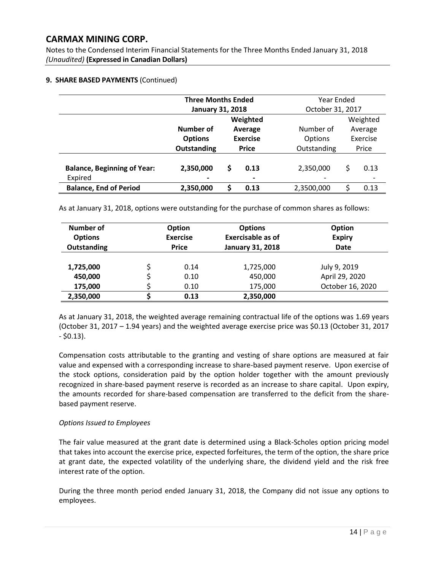Notes to the Condensed Interim Financial Statements for the Three Months Ended January 31, 2018 *(Unaudited)* **(Expressed in Canadian Dollars)**

### **9. SHARE BASED PAYMENTS** (Continued)

|                                    | <b>Three Months Ended</b> |                 |                              |             | Year Ended |         |  |          |  |
|------------------------------------|---------------------------|-----------------|------------------------------|-------------|------------|---------|--|----------|--|
|                                    | <b>January 31, 2018</b>   |                 | October 31, 2017             |             |            |         |  |          |  |
|                                    | Weighted                  |                 |                              |             | Weighted   |         |  |          |  |
|                                    | Number of                 |                 | Average                      | Number of   |            | Average |  |          |  |
|                                    | <b>Options</b>            | <b>Exercise</b> |                              |             |            | Options |  | Exercise |  |
|                                    | Outstanding               | <b>Price</b>    |                              | Outstanding |            | Price   |  |          |  |
|                                    |                           |                 |                              |             |            |         |  |          |  |
| <b>Balance, Beginning of Year:</b> | 2,350,000                 | \$              | 0.13                         | 2,350,000   | \$         | 0.13    |  |          |  |
| Expired                            |                           |                 | $\qquad \qquad \blacksquare$ |             |            |         |  |          |  |
| <b>Balance, End of Period</b>      | 2,350,000                 | S               | 0.13                         | 2,3500,000  | Ś          | 0.13    |  |          |  |

As at January 31, 2018, options were outstanding for the purchase of common shares as follows:

| Number of<br><b>Options</b><br><b>Outstanding</b> | <b>Option</b><br><b>Exercise</b><br><b>Price</b> | <b>Options</b><br><b>Exercisable as of</b><br><b>January 31, 2018</b> | Option<br><b>Expiry</b><br>Date |  |  |
|---------------------------------------------------|--------------------------------------------------|-----------------------------------------------------------------------|---------------------------------|--|--|
| 1,725,000                                         | 0.14                                             | 1,725,000                                                             | July 9, 2019                    |  |  |
| 450,000                                           | 0.10                                             | 450,000                                                               | April 29, 2020                  |  |  |
| 175,000                                           | 0.10                                             | 175,000                                                               | October 16, 2020                |  |  |
| 2,350,000                                         | 0.13                                             | 2,350,000                                                             |                                 |  |  |

As at January 31, 2018, the weighted average remaining contractual life of the options was 1.69 years (October 31, 2017 – 1.94 years) and the weighted average exercise price was \$0.13 (October 31, 2017  $-$  \$0.13).

Compensation costs attributable to the granting and vesting of share options are measured at fair value and expensed with a corresponding increase to share-based payment reserve. Upon exercise of the stock options, consideration paid by the option holder together with the amount previously recognized in share-based payment reserve is recorded as an increase to share capital. Upon expiry, the amounts recorded for share-based compensation are transferred to the deficit from the sharebased payment reserve.

### *Options Issued to Employees*

The fair value measured at the grant date is determined using a Black-Scholes option pricing model that takes into account the exercise price, expected forfeitures, the term of the option, the share price at grant date, the expected volatility of the underlying share, the dividend yield and the risk free interest rate of the option.

During the three month period ended January 31, 2018, the Company did not issue any options to employees.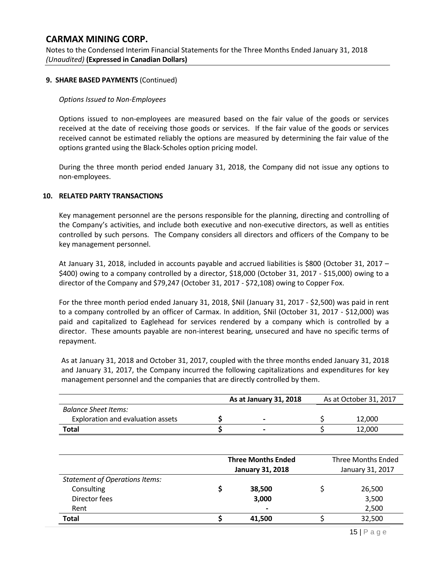Notes to the Condensed Interim Financial Statements for the Three Months Ended January 31, 2018 *(Unaudited)* **(Expressed in Canadian Dollars)**

#### **9. SHARE BASED PAYMENTS** (Continued)

#### *Options Issued to Non-Employees*

Options issued to non-employees are measured based on the fair value of the goods or services received at the date of receiving those goods or services. If the fair value of the goods or services received cannot be estimated reliably the options are measured by determining the fair value of the options granted using the Black-Scholes option pricing model.

During the three month period ended January 31, 2018, the Company did not issue any options to non-employees.

#### **10. RELATED PARTY TRANSACTIONS**

Key management personnel are the persons responsible for the planning, directing and controlling of the Company's activities, and include both executive and non-executive directors, as well as entities controlled by such persons. The Company considers all directors and officers of the Company to be key management personnel.

At January 31, 2018, included in accounts payable and accrued liabilities is \$800 (October 31, 2017 – \$400) owing to a company controlled by a director, \$18,000 (October 31, 2017 - \$15,000) owing to a director of the Company and \$79,247 (October 31, 2017 - \$72,108) owing to Copper Fox.

For the three month period ended January 31, 2018, \$Nil (January 31, 2017 - \$2,500) was paid in rent to a company controlled by an officer of Carmax. In addition, \$Nil (October 31, 2017 - \$12,000) was paid and capitalized to Eaglehead for services rendered by a company which is controlled by a director. These amounts payable are non-interest bearing, unsecured and have no specific terms of repayment.

As at January 31, 2018 and October 31, 2017, coupled with the three months ended January 31, 2018 and January 31, 2017, the Company incurred the following capitalizations and expenditures for key management personnel and the companies that are directly controlled by them.

|                                   | As at January 31, 2018   | As at October 31, 2017 |  |  |
|-----------------------------------|--------------------------|------------------------|--|--|
| Balance Sheet Items:              |                          |                        |  |  |
| Exploration and evaluation assets | $\overline{\phantom{0}}$ | 12.000                 |  |  |
| Total                             | $\overline{\phantom{0}}$ | 12,000                 |  |  |

|                                       | <b>Three Months Ended</b><br><b>January 31, 2018</b> | <b>Three Months Ended</b><br>January 31, 2017 |        |  |
|---------------------------------------|------------------------------------------------------|-----------------------------------------------|--------|--|
| <b>Statement of Operations Items:</b> |                                                      |                                               |        |  |
| Consulting                            | 38,500                                               |                                               | 26,500 |  |
| Director fees                         | 3,000                                                |                                               | 3,500  |  |
| Rent                                  | $\overline{\phantom{0}}$                             |                                               | 2,500  |  |
| <b>Total</b>                          | 41.500                                               |                                               | 32,500 |  |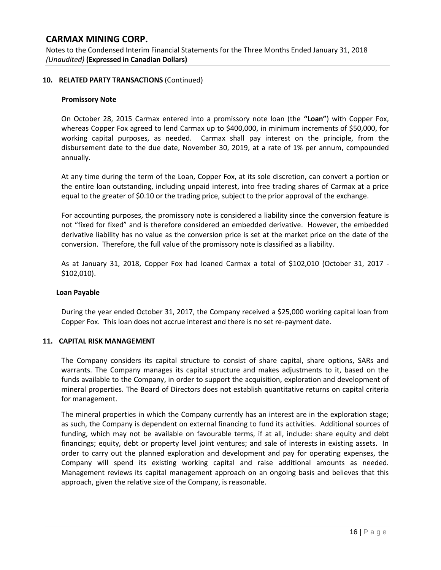Notes to the Condensed Interim Financial Statements for the Three Months Ended January 31, 2018 *(Unaudited)* **(Expressed in Canadian Dollars)**

### **10. RELATED PARTY TRANSACTIONS** (Continued)

#### **Promissory Note**

On October 28, 2015 Carmax entered into a promissory note loan (the **"Loan"**) with Copper Fox, whereas Copper Fox agreed to lend Carmax up to \$400,000, in minimum increments of \$50,000, for working capital purposes, as needed. Carmax shall pay interest on the principle, from the disbursement date to the due date, November 30, 2019, at a rate of 1% per annum, compounded annually.

At any time during the term of the Loan, Copper Fox, at its sole discretion, can convert a portion or the entire loan outstanding, including unpaid interest, into free trading shares of Carmax at a price equal to the greater of \$0.10 or the trading price, subject to the prior approval of the exchange.

For accounting purposes, the promissory note is considered a liability since the conversion feature is not "fixed for fixed" and is therefore considered an embedded derivative. However, the embedded derivative liability has no value as the conversion price is set at the market price on the date of the conversion. Therefore, the full value of the promissory note is classified as a liability.

As at January 31, 2018, Copper Fox had loaned Carmax a total of \$102,010 (October 31, 2017 - \$102,010).

#### **Loan Payable**

During the year ended October 31, 2017, the Company received a \$25,000 working capital loan from Copper Fox. This loan does not accrue interest and there is no set re-payment date.

#### **11. CAPITAL RISK MANAGEMENT**

The Company considers its capital structure to consist of share capital, share options, SARs and warrants. The Company manages its capital structure and makes adjustments to it, based on the funds available to the Company, in order to support the acquisition, exploration and development of mineral properties. The Board of Directors does not establish quantitative returns on capital criteria for management.

The mineral properties in which the Company currently has an interest are in the exploration stage; as such, the Company is dependent on external financing to fund its activities. Additional sources of funding, which may not be available on favourable terms, if at all, include: share equity and debt financings; equity, debt or property level joint ventures; and sale of interests in existing assets. In order to carry out the planned exploration and development and pay for operating expenses, the Company will spend its existing working capital and raise additional amounts as needed. Management reviews its capital management approach on an ongoing basis and believes that this approach, given the relative size of the Company, is reasonable.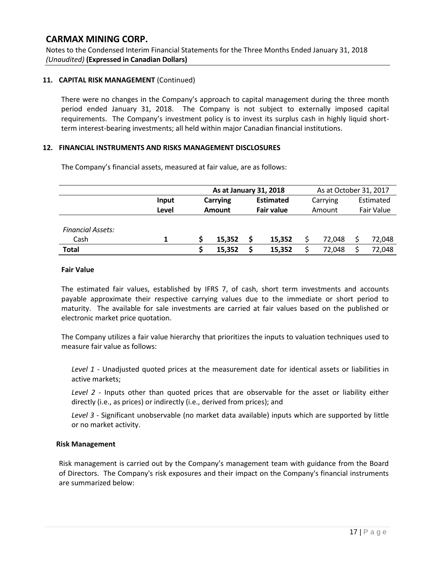Notes to the Condensed Interim Financial Statements for the Three Months Ended January 31, 2018 *(Unaudited)* **(Expressed in Canadian Dollars)**

### **11. CAPITAL RISK MANAGEMENT** (Continued)

There were no changes in the Company's approach to capital management during the three month period ended January 31, 2018. The Company is not subject to externally imposed capital requirements. The Company's investment policy is to invest its surplus cash in highly liquid shortterm interest-bearing investments; all held within major Canadian financial institutions.

### **12. FINANCIAL INSTRUMENTS AND RISKS MANAGEMENT DISCLOSURES**

|                          |       | As at January 31, 2018    |        |                                       |        | As at October 31, 2017 |        |                         |        |
|--------------------------|-------|---------------------------|--------|---------------------------------------|--------|------------------------|--------|-------------------------|--------|
|                          | Input | <b>Carrying</b><br>Amount |        | <b>Estimated</b><br><b>Fair value</b> |        | Carrying<br>Amount     |        | Estimated<br>Fair Value |        |
|                          | Level |                           |        |                                       |        |                        |        |                         |        |
| <b>Financial Assets:</b> |       |                           |        |                                       |        |                        |        |                         |        |
| Cash                     |       |                           | 15,352 | S                                     | 15.352 |                        | 72.048 |                         | 72,048 |
| <b>Total</b>             |       |                           | 15,352 |                                       | 15,352 |                        | 72,048 |                         | 72,048 |

The Company's financial assets, measured at fair value, are as follows:

#### **Fair Value**

The estimated fair values, established by IFRS 7, of cash, short term investments and accounts payable approximate their respective carrying values due to the immediate or short period to maturity. The available for sale investments are carried at fair values based on the published or electronic market price quotation.

The Company utilizes a fair value hierarchy that prioritizes the inputs to valuation techniques used to measure fair value as follows:

*Level 1* - Unadjusted quoted prices at the measurement date for identical assets or liabilities in active markets;

*Level 2* - Inputs other than quoted prices that are observable for the asset or liability either directly (i.e., as prices) or indirectly (i.e., derived from prices); and

*Level 3* - Significant unobservable (no market data available) inputs which are supported by little or no market activity.

### **Risk Management**

Risk management is carried out by the Company's management team with guidance from the Board of Directors. The Company's risk exposures and their impact on the Company's financial instruments are summarized below: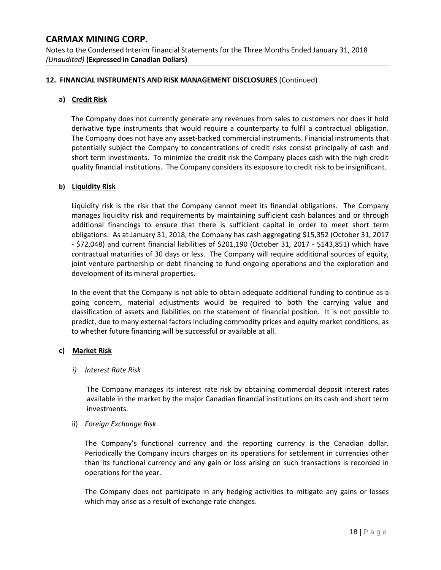Notes to the Condensed Interim Financial Statements for the Three Months Ended January 31, 2018 *(Unaudited)* **(Expressed in Canadian Dollars)**

### **12. FINANCIAL INSTRUMENTS AND RISK MANAGEMENT DISCLOSURES** (Continued)

#### **a) Credit Risk**

The Company does not currently generate any revenues from sales to customers nor does it hold derivative type instruments that would require a counterparty to fulfil a contractual obligation. The Company does not have any asset-backed commercial instruments. Financial instruments that potentially subject the Company to concentrations of credit risks consist principally of cash and short term investments. To minimize the credit risk the Company places cash with the high credit quality financial institutions. The Company considers its exposure to credit risk to be insignificant.

#### **b) Liquidity Risk**

Liquidity risk is the risk that the Company cannot meet its financial obligations. The Company manages liquidity risk and requirements by maintaining sufficient cash balances and or through additional financings to ensure that there is sufficient capital in order to meet short term obligations. As at January 31, 2018, the Company has cash aggregating \$15,352 (October 31, 2017 - \$72,048) and current financial liabilities of \$201,190 (October 31, 2017 - \$143,851) which have contractual maturities of 30 days or less. The Company will require additional sources of equity, joint venture partnership or debt financing to fund ongoing operations and the exploration and development of its mineral properties.

In the event that the Company is not able to obtain adequate additional funding to continue as a going concern, material adjustments would be required to both the carrying value and classification of assets and liabilities on the statement of financial position. It is not possible to predict, due to many external factors including commodity prices and equity market conditions, as to whether future financing will be successful or available at all.

### **c) Market Risk**

#### *i) Interest Rate Risk*

The Company manages its interest rate risk by obtaining commercial deposit interest rates available in the market by the major Canadian financial institutions on its cash and short term investments.

### ii) *Foreign Exchange Risk*

The Company's functional currency and the reporting currency is the Canadian dollar. Periodically the Company incurs charges on its operations for settlement in currencies other than its functional currency and any gain or loss arising on such transactions is recorded in operations for the year.

The Company does not participate in any hedging activities to mitigate any gains or losses which may arise as a result of exchange rate changes.